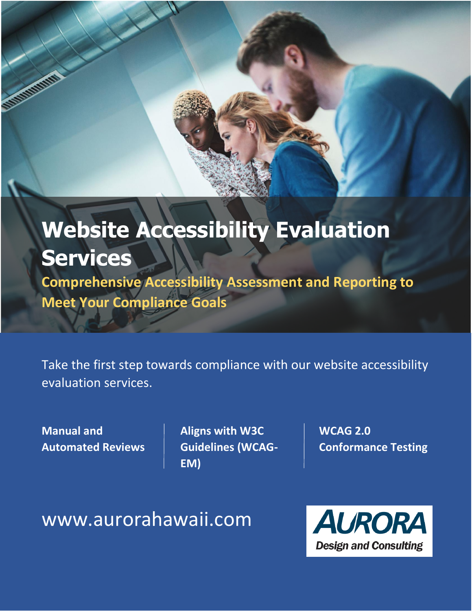# **Website Accessibility Evaluation Services**

**Comprehensive Accessibility Assessment and Reporting to Meet Your Compliance Goals**

Take the first step towards compliance with our website accessibility evaluation services.

**Manual and Automated Reviews** **Aligns with W3C Guidelines (WCAG-EM)**

**WCAG 2.0 Conformance Testing**

www.aurorahawaii.com